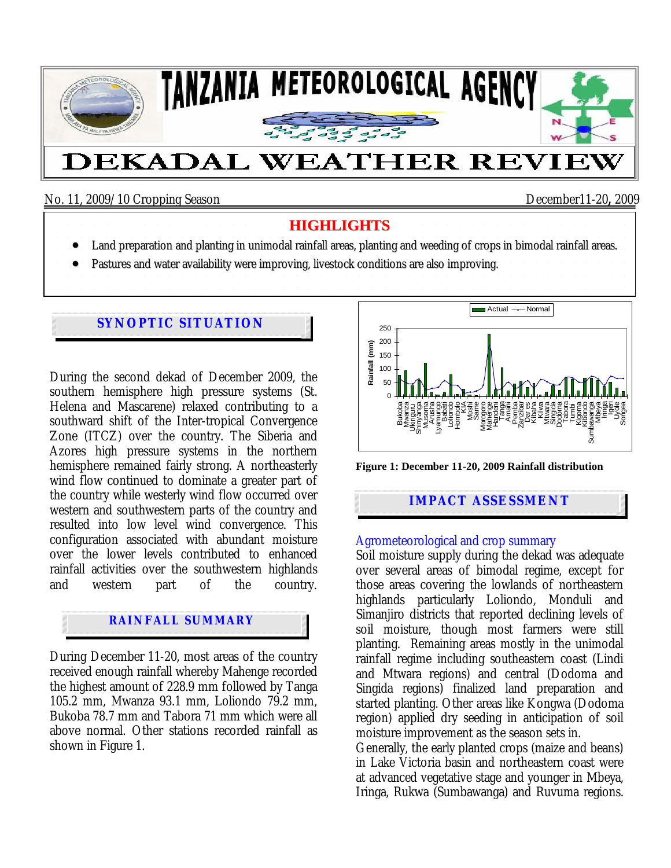

No. 11, 2009/10 Cropping Season December11-20**,** 2009

### **HIGHLIGHTS**

- Land preparation and planting in unimodal rainfall areas, planting and weeding of crops in bimodal rainfall areas.
- Pastures and water availability were improving, livestock conditions are also improving.

# **SYNOPTIC SITUATION**

During the second dekad of December 2009, the southern hemisphere high pressure systems (St. Helena and Mascarene) relaxed contributing to a southward shift of the Inter-tropical Convergence Zone (ITCZ) over the country. The Siberia and Azores high pressure systems in the northern hemisphere remained fairly strong. A northeasterly wind flow continued to dominate a greater part of the country while westerly wind flow occurred over western and southwestern parts of the country and resulted into low level wind convergence. This configuration associated with abundant moisture over the lower levels contributed to enhanced rainfall activities over the southwestern highlands and western part of the country.

# **RAINFALL SUMMARY**

During December 11-20, most areas of the country received enough rainfall whereby Mahenge recorded the highest amount of 228.9 mm followed by Tanga 105.2 mm, Mwanza 93.1 mm, Loliondo 79.2 mm, Bukoba 78.7 mm and Tabora 71 mm which were all above normal. Other stations recorded rainfall as shown in Figure 1.



**Figure 1: December 11-20, 2009 Rainfall distribution** 

### **IMPACT ASSESSMENT**

#### Agrometeorological and crop summary

Soil moisture supply during the dekad was adequate over several areas of bimodal regime, except for those areas covering the lowlands of northeastern highlands particularly Loliondo, Monduli and Simanjiro districts that reported declining levels of soil moisture, though most farmers were still planting. Remaining areas mostly in the unimodal rainfall regime including southeastern coast (Lindi and Mtwara regions) and central (Dodoma and Singida regions) finalized land preparation and started planting. Other areas like Kongwa (Dodoma region) applied dry seeding in anticipation of soil moisture improvement as the season sets in.

Generally, the early planted crops (maize and beans) in Lake Victoria basin and northeastern coast were at advanced vegetative stage and younger in Mbeya, Iringa, Rukwa (Sumbawanga) and Ruvuma regions.